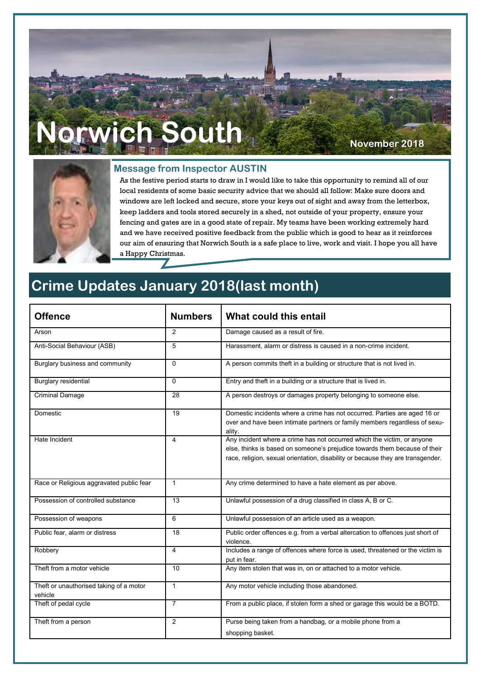# **Norwich South November 2018**



#### **Message from Inspector AUSTIN**

As the festive period starts to draw in I would like to take this opportunity to remind all of our local residents of some basic security advice that we should all follow: Make sure doors and windows are left locked and secure, store your keys out of sight and away from the letterbox, keep ladders and tools stored securely in a shed, not outside of your property, ensure your fencing and gates are in a good state of repair. My teams have been working extremely hard and we have received positive feedback from the public which is good to hear as it reinforces our aim of ensuring that Norwich South is a safe place to live, work and visit. I hope you all have a Happy Christmas.

## **Crime Updates January 2018(last month)**

| <b>Offence</b>                                     | <b>Numbers</b>  | What could this entail                                                                                                                                                                                                                   |
|----------------------------------------------------|-----------------|------------------------------------------------------------------------------------------------------------------------------------------------------------------------------------------------------------------------------------------|
| Arson                                              | $\mathfrak{p}$  | Damage caused as a result of fire.                                                                                                                                                                                                       |
| Anti-Social Behaviour (ASB)                        | 5               | Harassment, alarm or distress is caused in a non-crime incident.                                                                                                                                                                         |
| Burglary business and community                    | $\Omega$        | A person commits theft in a building or structure that is not lived in.                                                                                                                                                                  |
| Burglary residential                               | $\Omega$        | Entry and theft in a building or a structure that is lived in.                                                                                                                                                                           |
| <b>Criminal Damage</b>                             | 28              | A person destroys or damages property belonging to someone else.                                                                                                                                                                         |
| Domestic                                           | $\overline{19}$ | Domestic incidents where a crime has not occurred. Parties are aged 16 or<br>over and have been intimate partners or family members regardless of sexu-<br>ality.                                                                        |
| Hate Incident                                      | 4               | Any incident where a crime has not occurred which the victim, or anyone<br>else, thinks is based on someone's prejudice towards them because of their<br>race, religion, sexual orientation, disability or because they are transgender. |
| Race or Religious aggravated public fear           | $\mathbf{1}$    | Any crime determined to have a hate element as per above.                                                                                                                                                                                |
| Possession of controlled substance                 | 13              | Unlawful possession of a drug classified in class A, B or C.                                                                                                                                                                             |
| Possession of weapons                              | 6               | Unlawful possession of an article used as a weapon.                                                                                                                                                                                      |
| Public fear, alarm or distress                     | 18              | Public order offences e.g. from a verbal altercation to offences just short of<br>violence.                                                                                                                                              |
| Robbery                                            | 4               | Includes a range of offences where force is used, threatened or the victim is<br>put in fear.                                                                                                                                            |
| Theft from a motor vehicle                         | 10              | Any item stolen that was in, on or attached to a motor vehicle.                                                                                                                                                                          |
| Theft or unauthorised taking of a motor<br>vehicle | $\mathbf{1}$    | Any motor vehicle including those abandoned.                                                                                                                                                                                             |
| Theft of pedal cycle                               | $\overline{7}$  | From a public place, if stolen form a shed or garage this would be a BOTD.                                                                                                                                                               |
| Theft from a person                                | 2               | Purse being taken from a handbag, or a mobile phone from a<br>shopping basket.                                                                                                                                                           |